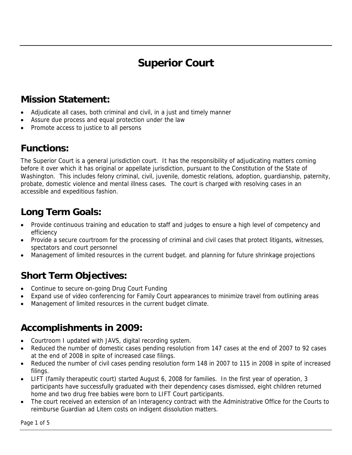# **Superior Court**

## **Mission Statement:**

- Adjudicate all cases, both criminal and civil, in a just and timely manner
- Assure due process and equal protection under the law
- Promote access to justice to all persons

## **Functions:**

The Superior Court is a general jurisdiction court. It has the responsibility of adjudicating matters coming before it over which it has original or appellate jurisdiction, pursuant to the Constitution of the State of Washington. This includes felony criminal, civil, juvenile, domestic relations, adoption, guardianship, paternity, probate, domestic violence and mental illness cases. The court is charged with resolving cases in an accessible and expeditious fashion.

## **Long Term Goals:**

- Provide continuous training and education to staff and judges to ensure a high level of competency and efficiency
- Provide a secure courtroom for the processing of criminal and civil cases that protect litigants, witnesses, spectators and court personnel
- Management of limited resources in the current budget. and planning for future shrinkage projections

## **Short Term Objectives:**

- Continue to secure on-going Drug Court Funding
- Expand use of video conferencing for Family Court appearances to minimize travel from outlining areas
- Management of limited resources in the current budget climate.

### **Accomplishments in 2009:**

- Courtroom I updated with JAVS, digital recording system.
- Reduced the number of domestic cases pending resolution from 147 cases at the end of 2007 to 92 cases at the end of 2008 in spite of increased case filings.
- Reduced the number of civil cases pending resolution form 148 in 2007 to 115 in 2008 in spite of increased filings.
- LIFT (family therapeutic court) started August 6, 2008 for families. In the first year of operation, 3 participants have successfully graduated with their dependency cases dismissed, eight children returned home and two drug free babies were born to LIFT Court participants.
- The court received an extension of an Interagency contract with the Administrative Office for the Courts to reimburse Guardian ad Litem costs on indigent dissolution matters.

Page 1 of 5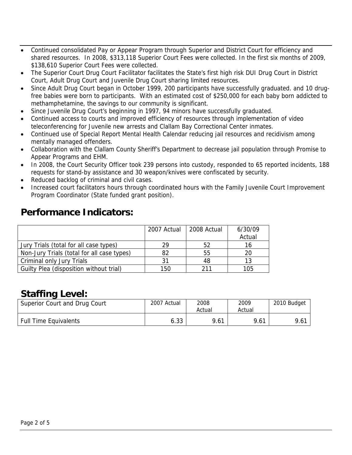- Continued consolidated Pay or Appear Program through Superior and District Court for efficiency and shared resources. In 2008, \$313,118 Superior Court Fees were collected. In the first six months of 2009, \$138,610 Superior Court Fees were collected.
- The Superior Court Drug Court Facilitator facilitates the State's first high risk DUI Drug Court in District Court, Adult Drug Court and Juvenile Drug Court sharing limited resources.
- Since Adult Drug Court began in October 1999, 200 participants have successfully graduated. and 10 drugfree babies were born to participants. With an estimated cost of \$250,000 for each baby born addicted to methamphetamine, the savings to our community is significant.
- Since Juvenile Drug Court's beginning in 1997, 94 minors have successfully graduated.
- Continued access to courts and improved efficiency of resources through implementation of video teleconferencing for Juvenile new arrests and Clallam Bay Correctional Center inmates.
- Continued use of Special Report Mental Health Calendar reducing jail resources and recidivism among mentally managed offenders.
- Collaboration with the Clallam County Sheriff's Department to decrease jail population through Promise to Appear Programs and EHM.
- In 2008, the Court Security Officer took 239 persons into custody, responded to 65 reported incidents, 188 requests for stand-by assistance and 30 weapon/knives were confiscated by security.
- Reduced backlog of criminal and civil cases.
- Increased court facilitators hours through coordinated hours with the Family Juvenile Court Improvement Program Coordinator (State funded grant position).

#### **Performance Indicators:**

|                                            | 2007 Actual | 2008 Actual | 6/30/09 |
|--------------------------------------------|-------------|-------------|---------|
|                                            |             |             | Actual  |
| Jury Trials (total for all case types)     | 29          | 52          | 16      |
| Non-Jury Trials (total for all case types) | 82          | 55          | 20      |
| Criminal only Jury Trials                  | 31          | 48          | 13      |
| Guilty Plea (disposition without trial)    | 150         | 211         | 105     |

#### **Staffing Level:**

| Superior Court and Drug Court | 2007 Actual | 2008<br>Actual | 2009<br>Actual | 2010 Budget |
|-------------------------------|-------------|----------------|----------------|-------------|
| <b>Full Time Equivalents</b>  | 6.33        | 9.61           | 9.61           | 9.61        |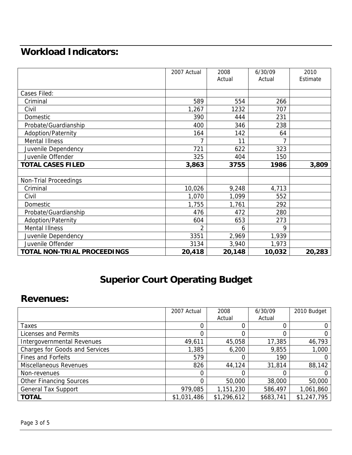## **Workload Indicators:**

|                                    | 2007 Actual | 2008   | 6/30/09 | 2010     |
|------------------------------------|-------------|--------|---------|----------|
|                                    |             | Actual | Actual  | Estimate |
|                                    |             |        |         |          |
| Cases Filed:                       |             |        |         |          |
| Criminal                           | 589         | 554    | 266     |          |
| Civil                              | 1,267       | 1232   | 707     |          |
| Domestic                           | 390         | 444    | 231     |          |
| Probate/Guardianship               | 400         | 346    | 238     |          |
| Adoption/Paternity                 | 164         | 142    | 64      |          |
| <b>Mental Illness</b>              |             | 11     |         |          |
| Juvenile Dependency                | 721         | 622    | 323     |          |
| Juvenile Offender                  | 325         | 404    | 150     |          |
| <b>TOTAL CASES FILED</b>           | 3,863       | 3755   | 1986    | 3,809    |
|                                    |             |        |         |          |
| <b>Non-Trial Proceedings</b>       |             |        |         |          |
| Criminal                           | 10,026      | 9,248  | 4,713   |          |
| Civil                              | 1,070       | 1,099  | 552     |          |
| Domestic                           | 1,755       | 1,761  | 292     |          |
| Probate/Guardianship               | 476         | 472    | 280     |          |
| <b>Adoption/Paternity</b>          | 604         | 653    | 273     |          |
| <b>Mental Illness</b>              | 2           | 6      | 9       |          |
| Juvenile Dependency                | 3351        | 2,969  | 1,939   |          |
| Juvenile Offender                  | 3134        | 3,940  | 1,973   |          |
| <b>TOTAL NON-TRIAL PROCEEDINGS</b> | 20,418      | 20,148 | 10,032  | 20,283   |

## **Superior Court Operating Budget**

#### **Revenues:**

|                                       | 2007 Actual | 2008        | 6/30/09   | 2010 Budget |
|---------------------------------------|-------------|-------------|-----------|-------------|
|                                       |             | Actual      | Actual    |             |
| Taxes                                 |             |             |           |             |
| Licenses and Permits                  |             |             |           |             |
| Intergovernmental Revenues            | 49,611      | 45,058      | 17,385    | 46,793      |
| <b>Charges for Goods and Services</b> | 1,385       | 6,200       | 9,855     | 1,000       |
| <b>Fines and Forfeits</b>             | 579         |             | 190       |             |
| Miscellaneous Revenues                | 826         | 44,124      | 31,814    | 88,142      |
| Non-revenues                          | 0           |             |           |             |
| <b>Other Financing Sources</b>        | 0           | 50,000      | 38,000    | 50,000      |
| <b>General Tax Support</b>            | 979,085     | 1,151,230   | 586,497   | 1,061,860   |
| <b>TOTAL</b>                          | \$1,031,486 | \$1,296,612 | \$683,741 | \$1,247,795 |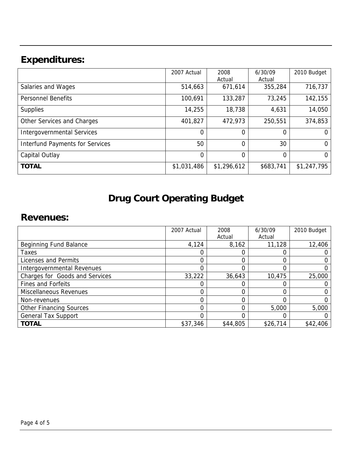# **Expenditures:**

|                                        | 2007 Actual    | 2008        | 6/30/09   | 2010 Budget |
|----------------------------------------|----------------|-------------|-----------|-------------|
|                                        |                | Actual      | Actual    |             |
| Salaries and Wages                     | 514,663        | 671,614     | 355,284   | 716,737     |
| <b>Personnel Benefits</b>              | 100,691        | 133,287     | 73,245    | 142,155     |
| <b>Supplies</b>                        | 14,255         | 18,738      | 4,631     | 14,050      |
| Other Services and Charges             | 401,827        | 472,973     | 250,551   | 374,853     |
| <b>Intergovernmental Services</b>      | $\Omega$       | 0           | 0         | $\Omega$    |
| <b>Interfund Payments for Services</b> | 50             | 0           | 30        | $\Omega$    |
| Capital Outlay                         | $\overline{0}$ | 0           | $\Omega$  | $\Omega$    |
| <b>TOTAL</b>                           | \$1,031,486    | \$1,296,612 | \$683,741 | \$1,247,795 |

# **Drug Court Operating Budget**

## **Revenues:**

|                                | 2007 Actual | 2008     | 6/30/09  | 2010 Budget |
|--------------------------------|-------------|----------|----------|-------------|
|                                |             | Actual   | Actual   |             |
| Beginning Fund Balance         | 4,124       | 8,162    | 11,128   | 12,406      |
| <b>Taxes</b>                   |             |          |          |             |
| Licenses and Permits           |             |          |          |             |
| Intergovernmental Revenues     |             |          |          |             |
| Charges for Goods and Services | 33,222      | 36,643   | 10,475   | 25,000      |
| <b>Fines and Forfeits</b>      |             |          |          |             |
| Miscellaneous Revenues         |             |          |          |             |
| Non-revenues                   |             |          |          |             |
| <b>Other Financing Sources</b> |             |          | 5,000    | 5,000       |
| <b>General Tax Support</b>     |             |          |          |             |
| <b>TOTAL</b>                   | \$37,346    | \$44,805 | \$26,714 | \$42,406    |